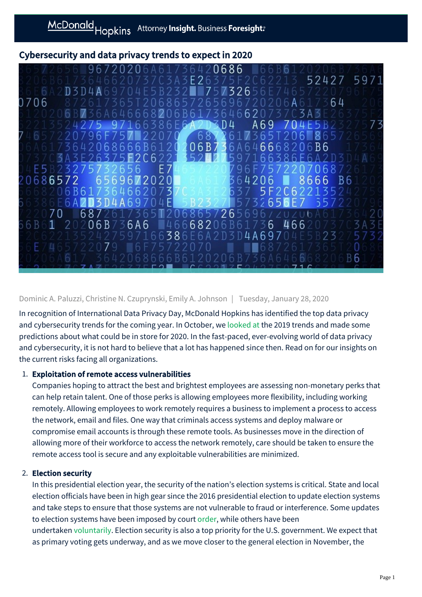# Cybersecurity and data privacy trends to expect in 2020



### Dominic A. Paluzzi, Christine N. Czuprynski, Emily A. Johnson | Tuesday, January 28, 2020

In recognition of International Data Privacy Day, McDonald Hopkins has identified the top data privacy and cybersecurity trends for the coming year. In October, we [looked at](https://mcdonaldhopkins.com/Insights/Blog/Data-Privacy-Solutions/2019/10/14/October-is-Cybersecurity-Awareness-Month-Top-3-cybersecurity-trends-of-2019) the 2019 trends and made some predictions about what could be in store for 2020. In the fast-paced, ever-evolving world of data privacy and cybersecurity, it is not hard to believe that a lot has happened since then. Read on for our insights on the current risks facing all organizations.

### 1. Exploitation of remote access vulnerabilities

Companies hoping to attract the best and brightest employees are assessing non-monetary perks that can help retain talent. One of those perks is allowing employees more flexibility, including working remotely. Allowing employees to work remotely requires a business to implement a process to access the network, email and files. One way that criminals access systems and deploy malware or compromise email accounts is through these remote tools. As businesses move in the direction of allowing more of their workforce to access the network remotely, care should be taken to ensure the remote access tool is secure and any exploitable vulnerabilities are minimized.

#### 2. Election security

In this presidential election year, the security of the nation's election systems is critical. State and local election officials have been in high gear since the 2016 presidential election to update election systems and take steps to ensure that those systems are not vulnerable to fraud or interference. Some updates to election systems have been imposed by court [order](https://mcdonaldhopkins.com/Insights/Blog/Data-Privacy-Solutions/2019/08/23/In-the-face-of-cybersecurity-threats-federal-court-orders-Georgia-to-reform-voting-systems), while others have been undertaken [voluntarily.](https://mcdonaldhopkins.com/Insights/Blog/Data-Privacy-Solutions/2019/08/05/Efforts-underway-to-mitigate-cyber-risks-facing-US-elections) Election security is also a top priority for the U.S. government. We expect that as primary voting gets underway, and as we move closer to the general election in November, the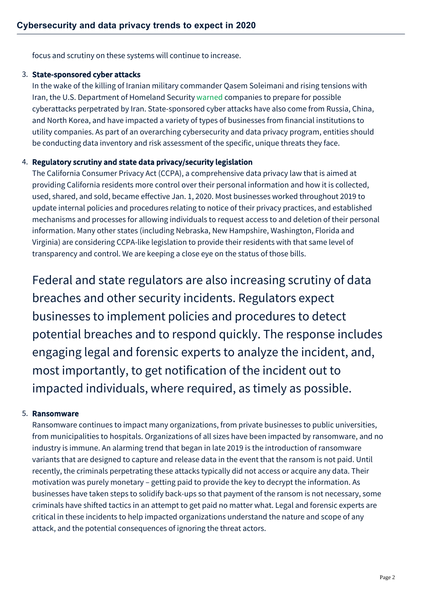focus and scrutiny on these systems will continue to increase.

### 3. State-sponsored cyber attacks

In the wake of the killing of Iranian military commander Qasem Soleimani and rising tensions with Iran, the U.S. Department of Homeland Security [warned](https://www.documentcloud.org/documents/6598719-CISA-Insights-Increased-Geopolitical-Tensions.html) companies to prepare for possible cyberattacks perpetrated by Iran. State-sponsored cyber attacks have also come from Russia, China, and North Korea, and have impacted a variety of types of businesses from financial institutions to utility companies. As part of an overarching cybersecurity and data privacy program, entities should be conducting data inventory and risk assessment of the specific, unique threats they face.

## 4. Regulatory scrutiny and state data privacy/security legislation

The California Consumer Privacy Act (CCPA), a comprehensive data privacy law that is aimed at providing California residents more control over their personal information and how it is collected, used, shared, and sold, became effective Jan. 1, 2020. Most businesses worked throughout 2019 to update internal policies and procedures relating to notice of their privacy practices, and established mechanisms and processes for allowing individuals to request access to and deletion of their personal information. Many other states (including Nebraska, New Hampshire, Washington, Florida and Virginia) are considering CCPA-like legislation to provide their residents with that same level of transparency and control. We are keeping a close eye on the status of those bills.

Federal and state regulators are also increasing scrutiny of data breaches and other security incidents. Regulators expect businesses to implement policies and procedures to detect potential breaches and to respond quickly. The response includes engaging legal and forensic experts to analyze the incident, and, most importantly, to get notification of the incident out to impacted individuals, where required, as timely as possible.

## 5. Ransomware

Ransomware continues to impact many organizations, from private businesses to public universities, from municipalities to hospitals. Organizations of all sizes have been impacted by ransomware, and no industry is immune. An alarming trend that began in late 2019 is the introduction of ransomware variants that are designed to capture and release data in the event that the ransom is not paid. Until recently, the criminals perpetrating these attacks typically did not access or acquire any data. Their motivation was purely monetary – getting paid to provide the key to decrypt the information. As businesses have taken steps to solidify back-ups so that payment of the ransom is not necessary, some criminals have shifted tactics in an attempt to get paid no matter what. Legal and forensic experts are critical in these incidents to help impacted organizations understand the nature and scope of any attack, and the potential consequences of ignoring the threat actors.